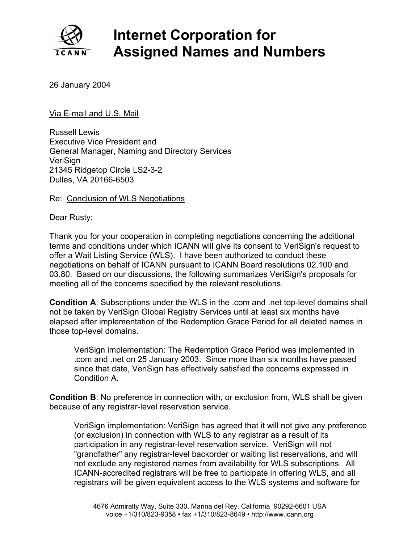

## **Internet Corporation for Assigned Names and Numbers**

## 26 January 2004

## Via E-mail and U.S. Mail

Russell Lewis Executive Vice President and General Manager, Naming and Directory Services VeriSign Dulles, VA 20166-6503 21345 Ridgetop Circle LS2-3-2

## Re: Conclusion of WLS Negotiations

Dear Rusty:

Thank you for your cooperation in completing negotiations concerning the additional terms and conditions under which ICANN will give its consent to VeriSign's request to offer a Wait Listing Service (WLS). I have been authorized to conduct these negotiations on behalf of ICANN pursuant to ICANN Board resolutions 02.100 and 03.80. Based on our discussions, the following summarizes VeriSign's proposals for meeting all of the concerns specified by the relevant resolutions.

**Condition A**: Subscriptions under the WLS in the .com and .net top-level domains shall not be taken by VeriSign Global Registry Services until at least six months have elapsed after implementation of the Redemption Grace Period for all deleted names in those top-level domains.

VeriSign implementation: The Redemption Grace Period was implemented in .com and .net on 25 January 2003. Since more than six months have passed since that date, VeriSign has effectively satisfied the concerns expressed in Condition A.

**Condition B:** No preference in connection with, or exclusion from, WLS shall be given bec ause of any registrar-level reservation service.

VeriSign implementation: VeriSign has agreed that it will not give any preference (or exclusion) in connection with WLS to any registrar as a result of its participation in any registrar-level reservation service. VeriSign will not "grandfather" any registrar-level backorder or waiting list reservations, and will not exclude any registered names from availability for WLS subscriptions. All ICANN-accredited registrars will be free to participate in offering WLS, and all registrars will be given equivalent access to the WLS systems and software for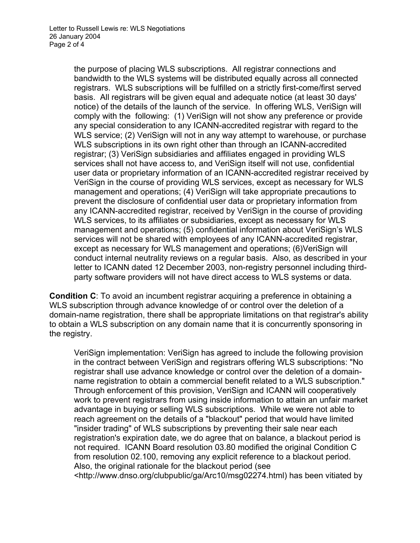the purpose of placing WLS subscriptions. All registrar connecti ons and bandwidth to the WLS systems will be distributed equally acros s all connected registrars. WLS subscriptions will be fulfilled on a strictly first-co me/first served basis. All registrars will be given equal and adequate notice (at l east 30 days' notice) of the details of the launch of the service. In offering WL S, VeriSign will comply with the following: (1) VeriSign will not show any prefere nce or provide any special consideration to any ICANN-accredited registrar with regard to the WLS service; (2) VeriSign will not in any way attempt to wareh ouse, or purchase WLS subscriptions in its own right other than through an ICANN-a ccredited registrar; (3) VeriSign subsidiaries and affiliates engaged in prov iding WLS services shall not have access to, and VeriSign itself will not us e, confidential user data or proprietary information of an ICANN-accredited registrar received by VeriSign in the course of providing WLS services, except as necessary for WLS management and operations; (4) VeriSign will take appropriate p recautions to prevent the disclosure of confidential user data or proprietary in formation from any ICANN-accredited registrar, received by VeriSign in the c ourse of providing WLS services, to its affiliates or subsidiaries, except as necessary for WLS management and operations; (5) confidential information abou t VeriSign's WLS services will not be shared with employees of any ICANN-accredited registrar, except as necessary for WLS management and operations; (6)VeriSign will conduct internal neutrality reviews on a regular basis. Also, as described in your letter to ICANN dated 12 December 2003, non-registry personnel including thirdparty software providers will not have direct access to WLS systems or data.

**Condition C**: To avoid an incumbent registrar acquiring a preference in obtaining a WLS subscription through advance knowledge of or control over the deletion of a domain-name registration, there shall be appropriate limitations on that registrar's ability to obtain a WLS subscription on any domain name that it is concurrently sponsoring in the registry.

VeriSign implementation: VeriSign has agreed to include the following provision in the contract between VeriSign and registrars offering WLS subscriptions: "No registrar shall use advance knowledge or control over the deletion of a domainname registration to obtain a commercial benefit related to a WLS subscription." Through enforcement of this provision, VeriSign and ICANN will cooperatively work to prevent registrars from using inside information to attain an unfair market advantage in buying or selling WLS subscriptions. While we were not able to reach agreement on the details of a "blackout" period that would have limited "insider trading" of WLS subscriptions by preventing their sale near each registration's expiration date, we do agree that on balance, a blackout period is not required. ICANN Board resolution 03.80 modified the original Condition C from resolution 02.100, removing any explicit reference to a blackout period. Also, the original rationale for the blackout period (see <http://www.dnso.org/clubpublic/ga/Arc10/msg02274.html) has been vitiated by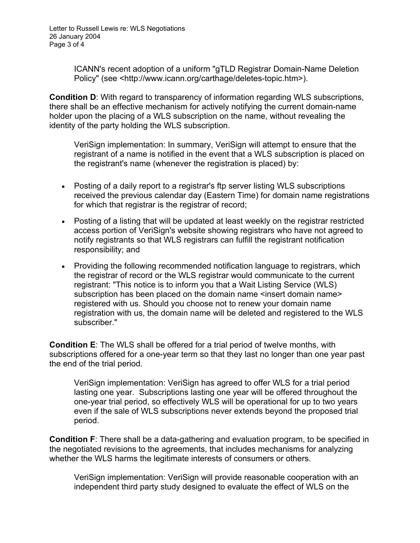ICANN's recent adoption of a uniform "gTLD Registrar Domain-Name Deletion Policy" (see <http://www.icann.org/carthage/deletes-topic.htm>).

**Condition D**: With regard to transparency of information regarding WLS subscriptions, there shall be an effective mechanism for actively notifying the current domain-name holder upon the placing of a WLS subscription on the name, without revealing the ide ntity of the party holding the WLS subscription.

VeriSign implementation: In summary, VeriSign will attempt to ensure that the registrant of a name is notified in the event that a WLS subscription is placed on the registrant's name (whenever the registration is placed) by:

- Posting of a daily report to a registrar's ftp server listing WLS subscriptions received the previous calendar day (Eastern Time) for domain name registrations for which that registrar is the registrar of record;
- Posting of a listing that will be updated at least weekly on the registrar restricted access portion of VeriSign's website showing registrars who have not agreed to notify registrants so that WLS registrars can fulfill the registrant notification responsibility; and
- Providing the following recommended notification language to registrars, which the registrar of record or the WLS registrar would communicate to the current registrant: "This notice is to inform you that a Wait Listing Service (WLS) subscription has been placed on the domain name <insert domain name> registered with us. Should you choose not to renew your domain name registration with us, the domain name will be deleted and registered to the WLS subscriber."

**Condition E**: The WLS shall be offered for a trial period of twelve months, with subscriptions offered for a one-year term so that they last no longer than one year past the end of the trial period.

VeriSign implementation: VeriSign has agreed to offer WLS for a trial period lasting one year. Subscriptions lasting one year will be offered throughout the one-year trial period, so effectively WLS will be operational for up to two years even if the sale of WLS subscriptions never extends beyond the proposed trial period.

**Condition F**: There shall be a data-gathering and evaluation program, to be specified in the negotiated revisions to the agreements, that includes mechanisms for analyzing whether the WLS harms the legitimate interests of consumers or others.

VeriSign implementation: VeriSign will provide reasonable cooperation with an independent third party study designed to evaluate the effect of WLS on the